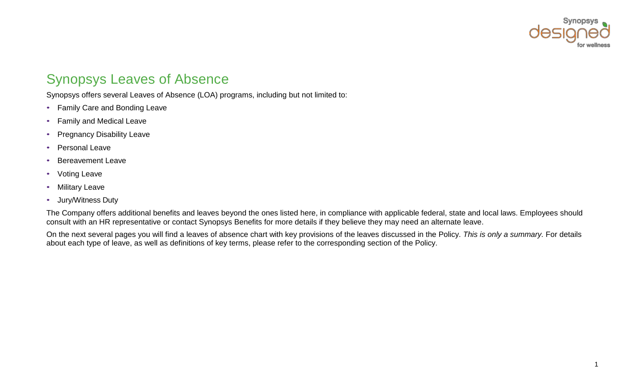

## Synopsys Leaves of Absence

Synopsys offers several Leaves of Absence (LOA) programs, including but not limited to:

- Family Care and Bonding Leave
- Family and Medical Leave
- Pregnancy Disability Leave
- Personal Leave
- Bereavement Leave
- Voting Leave
- Military Leave
- Jury/Witness Duty

The Company offers additional benefits and leaves beyond the ones listed here, in compliance with applicable federal, state and local laws. Employees should consult with an HR representative or contact Synopsys Benefits for more details if they believe they may need an alternate leave.

On the next several pages you will find a leaves of absence chart with key provisions of the leaves discussed in the Policy. *This is only a summary.* For details about each type of leave, as well as definitions of key terms, please refer to the corresponding section of the Policy.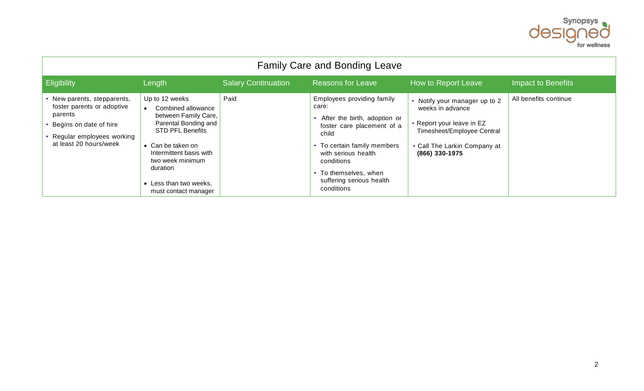

| <b>Family Care and Bonding Leave</b>                                                                                                                  |                                                                                                                                                                                                                                                   |                            |                                                                                                                                                                                                                                                              |                                                                                                                                                                |                           |  |
|-------------------------------------------------------------------------------------------------------------------------------------------------------|---------------------------------------------------------------------------------------------------------------------------------------------------------------------------------------------------------------------------------------------------|----------------------------|--------------------------------------------------------------------------------------------------------------------------------------------------------------------------------------------------------------------------------------------------------------|----------------------------------------------------------------------------------------------------------------------------------------------------------------|---------------------------|--|
| Eligibility                                                                                                                                           | Length                                                                                                                                                                                                                                            | <b>Salary Continuation</b> | <b>Reasons for Leave</b>                                                                                                                                                                                                                                     | How to Report Leave                                                                                                                                            | <b>Impact to Benefits</b> |  |
| • New parents, stepparents,<br>foster parents or adoptive<br>parents<br>Begins on date of hire<br>Regular employees working<br>at least 20 hours/week | Up to 12 weeks<br>Combined allowance<br>between Family Care,<br>Parental Bonding and<br><b>STD PFL Benefits</b><br>• Can be taken on<br>Intermittent basis with<br>two week minimum<br>duration<br>• Less than two weeks,<br>must contact manager | Paid                       | Employees providing family<br>care:<br>After the birth, adoption or<br>foster care placement of a<br>child<br>• To certain family members<br>with serious health<br>conditions<br>To themselves, when<br>$\bullet$<br>suffering serious health<br>conditions | • Notify your manager up to 2<br>weeks in advance<br>• Report your leave in EZ<br>Timesheet/Employee Central<br>• Call The Larkin Company at<br>(866) 330-1975 | All benefits continue     |  |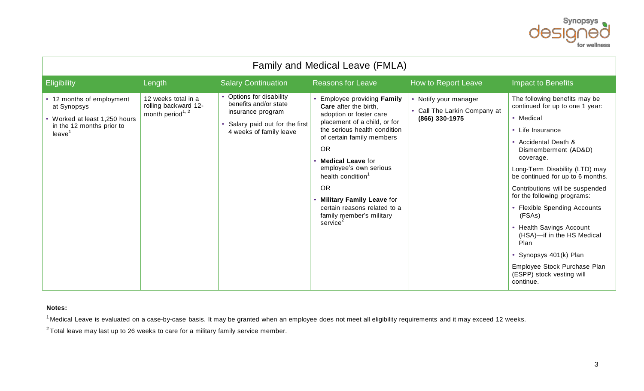

| Family and Medical Leave (FMLA)                                                                                 |                                                                             |                                                                                                                                    |                                                                                                                                                                                                                                                                                                                                                                                                           |                                                                         |                                                                                                                                                                                                                                                                                                                                                                                                                                                                                                                      |
|-----------------------------------------------------------------------------------------------------------------|-----------------------------------------------------------------------------|------------------------------------------------------------------------------------------------------------------------------------|-----------------------------------------------------------------------------------------------------------------------------------------------------------------------------------------------------------------------------------------------------------------------------------------------------------------------------------------------------------------------------------------------------------|-------------------------------------------------------------------------|----------------------------------------------------------------------------------------------------------------------------------------------------------------------------------------------------------------------------------------------------------------------------------------------------------------------------------------------------------------------------------------------------------------------------------------------------------------------------------------------------------------------|
| Eligibility                                                                                                     | Length                                                                      | <b>Salary Continuation</b>                                                                                                         | <b>Reasons for Leave</b>                                                                                                                                                                                                                                                                                                                                                                                  | How to Report Leave                                                     | Impact to Benefits                                                                                                                                                                                                                                                                                                                                                                                                                                                                                                   |
| • 12 months of employment<br>at Synopsys<br>• Worked at least 1,250 hours<br>in the 12 months prior to<br>leave | 12 weeks total in a<br>rolling backward 12-<br>month period <sup>1, 2</sup> | • Options for disability<br>benefits and/or state<br>insurance program<br>Salary paid out for the first<br>4 weeks of family leave | Employee providing Family<br>Care after the birth,<br>adoption or foster care<br>placement of a child, or for<br>the serious health condition<br>of certain family members<br><b>OR</b><br>• Medical Leave for<br>employee's own serious<br>health condition <sup>1</sup><br><b>OR</b><br>• Military Family Leave for<br>certain reasons related to a<br>family member's military<br>service <sup>2</sup> | • Notify your manager<br>• Call The Larkin Company at<br>(866) 330-1975 | The following benefits may be<br>continued for up to one 1 year:<br>• Medical<br>• Life Insurance<br>• Accidental Death &<br>Dismemberment (AD&D)<br>coverage.<br>Long-Term Disability (LTD) may<br>be continued for up to 6 months.<br>Contributions will be suspended<br>for the following programs:<br>• Flexible Spending Accounts<br>(FSAs)<br>• Health Savings Account<br>(HSA)-if in the HS Medical<br>Plan<br>Synopsys 401(k) Plan<br>Employee Stock Purchase Plan<br>(ESPP) stock vesting will<br>continue. |

## **Notes:**

 $1$  Medical Leave is evaluated on a case-by-case basis. It may be granted when an employee does not meet all eligibility requirements and it may exceed 12 weeks.

 $^{2}$ Total leave may last up to 26 weeks to care for a military family service member.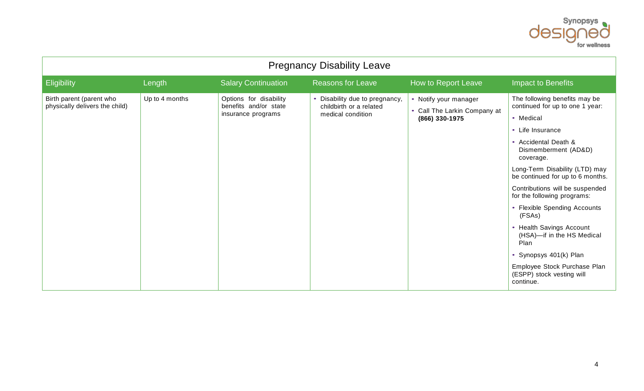

| <b>Pregnancy Disability Leave</b>                          |                |                                                                       |                                                                                |                                                                         |                                                                                                                                                                                                                                                                                                                                                                                                                                                                                                                      |  |
|------------------------------------------------------------|----------------|-----------------------------------------------------------------------|--------------------------------------------------------------------------------|-------------------------------------------------------------------------|----------------------------------------------------------------------------------------------------------------------------------------------------------------------------------------------------------------------------------------------------------------------------------------------------------------------------------------------------------------------------------------------------------------------------------------------------------------------------------------------------------------------|--|
| Eligibility                                                | Length         | <b>Salary Continuation</b>                                            | <b>Reasons for Leave</b>                                                       | How to Report Leave                                                     | <b>Impact to Benefits</b>                                                                                                                                                                                                                                                                                                                                                                                                                                                                                            |  |
| Birth parent (parent who<br>physically delivers the child) | Up to 4 months | Options for disability<br>benefits and/or state<br>insurance programs | • Disability due to pregnancy,<br>childbirth or a related<br>medical condition | • Notify your manager<br>• Call The Larkin Company at<br>(866) 330-1975 | The following benefits may be<br>continued for up to one 1 year:<br>• Medical<br>• Life Insurance<br>• Accidental Death &<br>Dismemberment (AD&D)<br>coverage.<br>Long-Term Disability (LTD) may<br>be continued for up to 6 months.<br>Contributions will be suspended<br>for the following programs:<br>• Flexible Spending Accounts<br>(FSAs)<br>• Health Savings Account<br>(HSA)-if in the HS Medical<br>Plan<br>Synopsys 401(k) Plan<br>Employee Stock Purchase Plan<br>(ESPP) stock vesting will<br>continue. |  |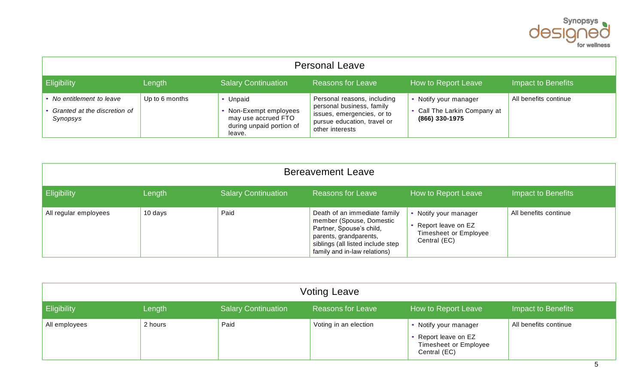

| <b>Personal Leave</b>                                               |                |                                                                                               |                                                                                                                                          |                                                                       |                       |
|---------------------------------------------------------------------|----------------|-----------------------------------------------------------------------------------------------|------------------------------------------------------------------------------------------------------------------------------------------|-----------------------------------------------------------------------|-----------------------|
| <b>Eligibility</b>                                                  | Length         | <b>Salary Continuation</b>                                                                    | <b>Reasons for Leave</b>                                                                                                                 | How to Report Leave                                                   | Impact to Benefits    |
| No entitlement to leave<br>Granted at the discretion of<br>Synopsys | Up to 6 months | • Unpaid<br>Non-Exempt employees<br>may use accrued FTO<br>during unpaid portion of<br>leave. | Personal reasons, including<br>personal business, family<br>issues, emergencies, or to<br>pursue education, travel or<br>other interests | Notify your manager<br>• Call The Larkin Company at<br>(866) 330-1975 | All benefits continue |

| <b>Bereavement Leave</b> |         |                            |                                                                                                                                                                                     |                                                                                        |                       |  |
|--------------------------|---------|----------------------------|-------------------------------------------------------------------------------------------------------------------------------------------------------------------------------------|----------------------------------------------------------------------------------------|-----------------------|--|
| <b>Eligibility</b>       | Length  | <b>Salary Continuation</b> | <b>Reasons for Leave</b>                                                                                                                                                            | How to Report Leave                                                                    | Impact to Benefits    |  |
| All regular employees    | 10 days | Paid                       | Death of an immediate family<br>member (Spouse, Domestic<br>Partner, Spouse's child,<br>parents, grandparents,<br>siblings (all listed include step<br>family and in-law relations) | • Notify your manager<br>• Report leave on EZ<br>Timesheet or Employee<br>Central (EC) | All benefits continue |  |

| <b>Voting Leave</b> |         |                            |                          |                                                                                               |                       |
|---------------------|---------|----------------------------|--------------------------|-----------------------------------------------------------------------------------------------|-----------------------|
| <b>Eligibility</b>  | Length  | <b>Salary Continuation</b> | <b>Reasons for Leave</b> | How to Report Leave                                                                           | Impact to Benefits    |
| All employees       | 2 hours | Paid                       | Voting in an election    | • Notify your manager<br>• Report leave on EZ<br><b>Timesheet or Employee</b><br>Central (EC) | All benefits continue |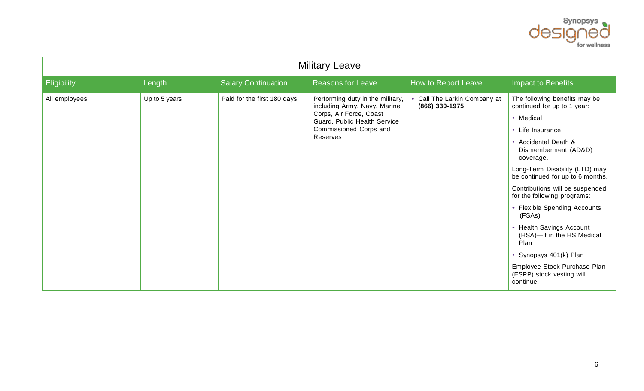

| <b>Military Leave</b> |               |                             |                                                                                                                                                                   |                                                |                                                                                                                                                                                                                                                                                                                                                                                                                                                                                                                  |  |
|-----------------------|---------------|-----------------------------|-------------------------------------------------------------------------------------------------------------------------------------------------------------------|------------------------------------------------|------------------------------------------------------------------------------------------------------------------------------------------------------------------------------------------------------------------------------------------------------------------------------------------------------------------------------------------------------------------------------------------------------------------------------------------------------------------------------------------------------------------|--|
| Eligibility           | Length        | <b>Salary Continuation</b>  | <b>Reasons for Leave</b>                                                                                                                                          | How to Report Leave                            | <b>Impact to Benefits</b>                                                                                                                                                                                                                                                                                                                                                                                                                                                                                        |  |
| All employees         | Up to 5 years | Paid for the first 180 days | Performing duty in the military,<br>including Army, Navy, Marine<br>Corps, Air Force, Coast<br>Guard, Public Health Service<br>Commissioned Corps and<br>Reserves | • Call The Larkin Company at<br>(866) 330-1975 | The following benefits may be<br>continued for up to 1 year:<br>• Medical<br>• Life Insurance<br>• Accidental Death &<br>Dismemberment (AD&D)<br>coverage.<br>Long-Term Disability (LTD) may<br>be continued for up to 6 months.<br>Contributions will be suspended<br>for the following programs:<br>• Flexible Spending Accounts<br>(FSAs)<br>• Health Savings Account<br>(HSA)-if in the HS Medical<br>Plan<br>Synopsys 401(k) Plan<br>Employee Stock Purchase Plan<br>(ESPP) stock vesting will<br>continue. |  |